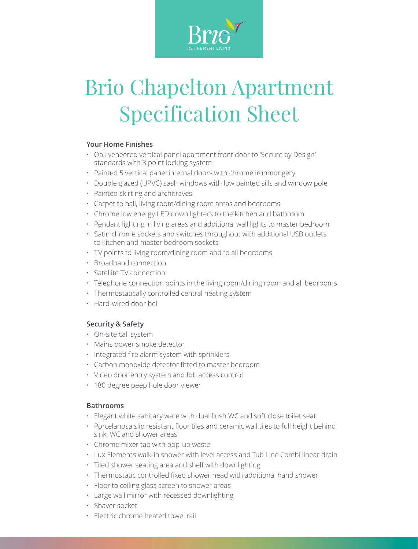

# Brio Chapelton Apartment Specification Sheet

# **Your Home Finishes**

- Oak veneered vertical panel apartment front door to 'Secure by Design' standards with 3 point locking system
- Painted 5 vertical panel internal doors with chrome ironmongery
- Double glazed (UPVC) sash windows with low painted sills and window pole
- Painted skirting and architraves
- Carpet to hall, living room/dining room areas and bedrooms
- Chrome low energy LED down lighters to the kitchen and bathroom
- Pendant lighting in living areas and additional wall lights to master bedroom
- Satin chrome sockets and switches throughout with additional USB outlets to kitchen and master bedroom sockets
- TV points to living room/dining room and to all bedrooms
- Broadband connection
- Satellite TV connection
- Telephone connection points in the living room/dining room and all bedrooms
- Thermostatically controlled central heating system
- Hard-wired door bell

# **Security & Safety**

- On-site call system
- Mains power smoke detector
- Integrated fire alarm system with sprinklers
- • Carbon monoxide detector fitted to master bedroom
- Video door entry system and fob access control
- 180 degree peep hole door viewer

# **Bathrooms**

- Elegant white sanitary ware with dual flush WC and soft close toilet seat
- Porcelanosa slip resistant floor tiles and ceramic wall tiles to full height behind sink, WC and shower areas
- Chrome mixer tap with pop-up waste
- Lux Elements walk-in shower with level access and Tub Line Combi linear drain
- Tiled shower seating area and shelf with downlighting
- Thermostatic controlled fixed shower head with additional hand shower
- Floor to ceiling glass screen to shower areas
- Large wall mirror with recessed downlighting
- Shaver socket
- Electric chrome heated towel rail